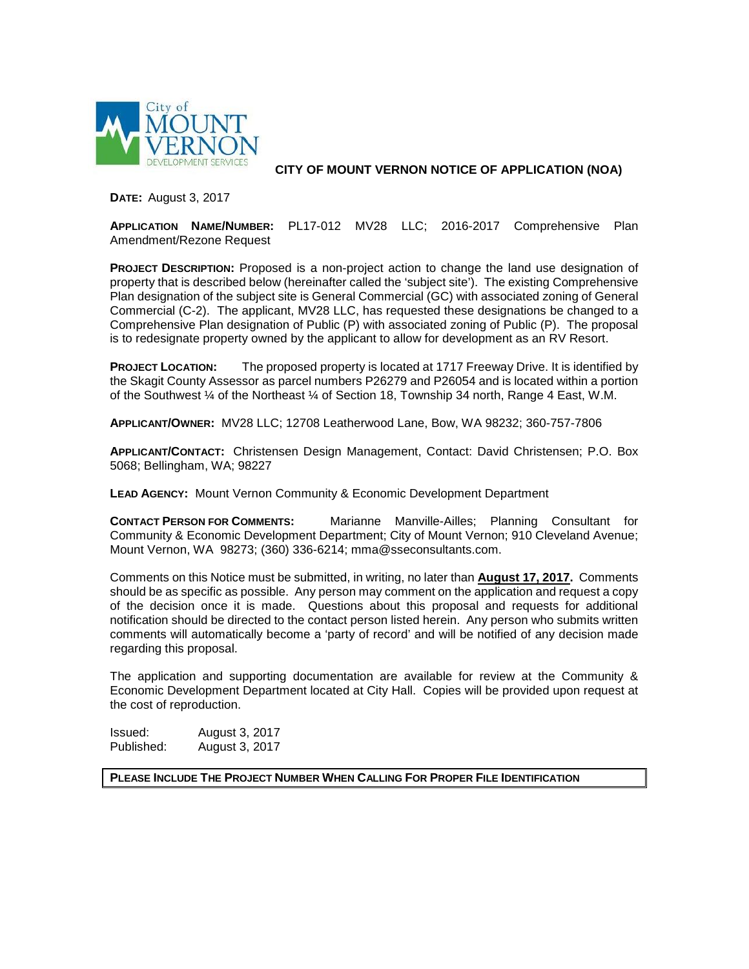

**CITY OF MOUNT VERNON NOTICE OF APPLICATION (NOA)**

**DATE:** August 3, 2017

**APPLICATION NAME/NUMBER:** PL17-012 MV28 LLC; 2016-2017 Comprehensive Plan Amendment/Rezone Request

**PROJECT DESCRIPTION:** Proposed is a non-project action to change the land use designation of property that is described below (hereinafter called the 'subject site'). The existing Comprehensive Plan designation of the subject site is General Commercial (GC) with associated zoning of General Commercial (C-2). The applicant, MV28 LLC, has requested these designations be changed to a Comprehensive Plan designation of Public (P) with associated zoning of Public (P). The proposal is to redesignate property owned by the applicant to allow for development as an RV Resort.

**PROJECT LOCATION:** The proposed property is located at 1717 Freeway Drive. It is identified by the Skagit County Assessor as parcel numbers P26279 and P26054 and is located within a portion of the Southwest ¼ of the Northeast ¼ of Section 18, Township 34 north, Range 4 East, W.M.

**APPLICANT/OWNER:** MV28 LLC; 12708 Leatherwood Lane, Bow, WA 98232; 360-757-7806

**APPLICANT/CONTACT:** Christensen Design Management, Contact: David Christensen; P.O. Box 5068; Bellingham, WA; 98227

**LEAD AGENCY:** Mount Vernon Community & Economic Development Department

**CONTACT PERSON FOR COMMENTS:** Marianne Manville-Ailles; Planning Consultant for Community & Economic Development Department; City of Mount Vernon; 910 Cleveland Avenue; Mount Vernon, WA 98273; (360) 336-6214; mma@sseconsultants.com.

Comments on this Notice must be submitted, in writing, no later than **August 17, 2017.** Comments should be as specific as possible. Any person may comment on the application and request a copy of the decision once it is made. Questions about this proposal and requests for additional notification should be directed to the contact person listed herein. Any person who submits written comments will automatically become a 'party of record' and will be notified of any decision made regarding this proposal.

The application and supporting documentation are available for review at the Community & Economic Development Department located at City Hall. Copies will be provided upon request at the cost of reproduction.

Issued: August 3, 2017 August 3, 2017

**PLEASE INCLUDE THE PROJECT NUMBER WHEN CALLING FOR PROPER FILE IDENTIFICATION**